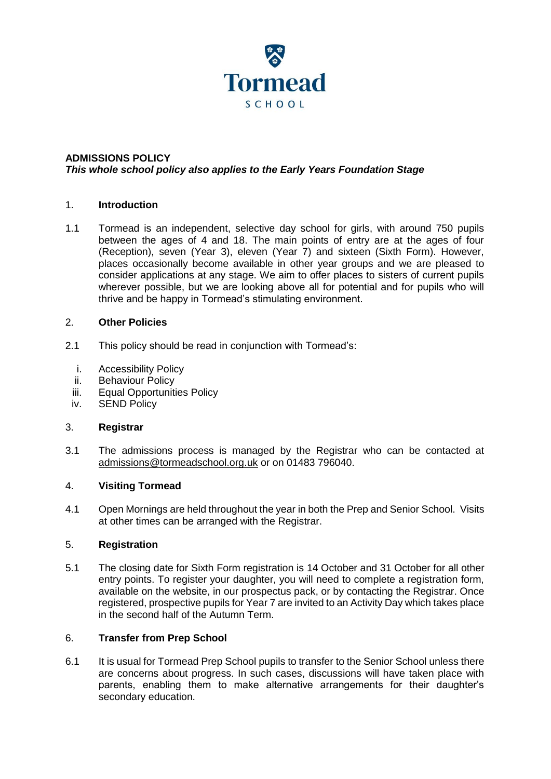

## **ADMISSIONS POLICY** *This whole school policy also applies to the Early Years Foundation Stage*

## 1. **Introduction**

1.1 Tormead is an independent, selective day school for girls, with around 750 pupils between the ages of 4 and 18. The main points of entry are at the ages of four (Reception), seven (Year 3), eleven (Year 7) and sixteen (Sixth Form). However, places occasionally become available in other year groups and we are pleased to consider applications at any stage. We aim to offer places to sisters of current pupils wherever possible, but we are looking above all for potential and for pupils who will thrive and be happy in Tormead's stimulating environment.

## 2. **Other Policies**

- 2.1 This policy should be read in conjunction with Tormead's:
	- i. Accessibility Policy
	- ii. Behaviour Policy
	- iii. Equal Opportunities Policy
	- iv. SEND Policy

## 3. **Registrar**

3.1 The admissions process is managed by the Registrar who can be contacted at admissions@tormeadschool.org.uk or on 01483 796040.

## 4. **Visiting Tormead**

4.1 Open Mornings are held throughout the year in both the Prep and Senior School. Visits at other times can be arranged with the Registrar.

## 5. **Registration**

5.1 The closing date for Sixth Form registration is 14 October and 31 October for all other entry points. To register your daughter, you will need to complete a registration form, available on the website, in our prospectus pack, or by contacting the Registrar. Once registered, prospective pupils for Year 7 are invited to an Activity Day which takes place in the second half of the Autumn Term.

## 6. **Transfer from Prep School**

6.1 It is usual for Tormead Prep School pupils to transfer to the Senior School unless there are concerns about progress. In such cases, discussions will have taken place with parents, enabling them to make alternative arrangements for their daughter's secondary education.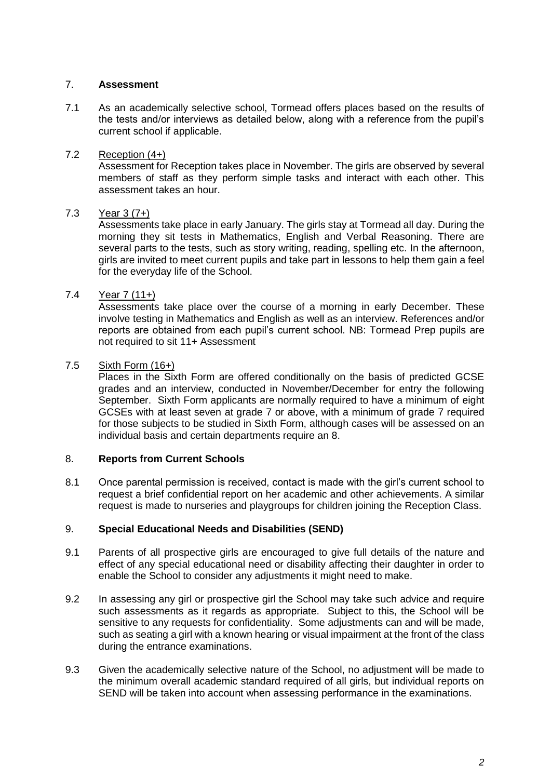# 7. **Assessment**

7.1 As an academically selective school, Tormead offers places based on the results of the tests and/or interviews as detailed below, along with a reference from the pupil's current school if applicable.

# 7.2 Reception (4+)

Assessment for Reception takes place in November. The girls are observed by several members of staff as they perform simple tasks and interact with each other. This assessment takes an hour.

# 7.3 Year 3 (7+)

Assessments take place in early January. The girls stay at Tormead all day. During the morning they sit tests in Mathematics, English and Verbal Reasoning. There are several parts to the tests, such as story writing, reading, spelling etc. In the afternoon, girls are invited to meet current pupils and take part in lessons to help them gain a feel for the everyday life of the School.

# 7.4 Year 7 (11+)

Assessments take place over the course of a morning in early December. These involve testing in Mathematics and English as well as an interview. References and/or reports are obtained from each pupil's current school. NB: Tormead Prep pupils are not required to sit 11+ Assessment

# 7.5 Sixth Form (16+)

Places in the Sixth Form are offered conditionally on the basis of predicted GCSE grades and an interview, conducted in November/December for entry the following September. Sixth Form applicants are normally required to have a minimum of eight GCSEs with at least seven at grade 7 or above, with a minimum of grade 7 required for those subjects to be studied in Sixth Form, although cases will be assessed on an individual basis and certain departments require an 8.

## 8. **Reports from Current Schools**

8.1 Once parental permission is received, contact is made with the girl's current school to request a brief confidential report on her academic and other achievements. A similar request is made to nurseries and playgroups for children joining the Reception Class.

## 9. **Special Educational Needs and Disabilities (SEND)**

- 9.1 Parents of all prospective girls are encouraged to give full details of the nature and effect of any special educational need or disability affecting their daughter in order to enable the School to consider any adjustments it might need to make.
- 9.2 In assessing any girl or prospective girl the School may take such advice and require such assessments as it regards as appropriate. Subject to this, the School will be sensitive to any requests for confidentiality. Some adjustments can and will be made, such as seating a girl with a known hearing or visual impairment at the front of the class during the entrance examinations.
- 9.3 Given the academically selective nature of the School, no adjustment will be made to the minimum overall academic standard required of all girls, but individual reports on SEND will be taken into account when assessing performance in the examinations.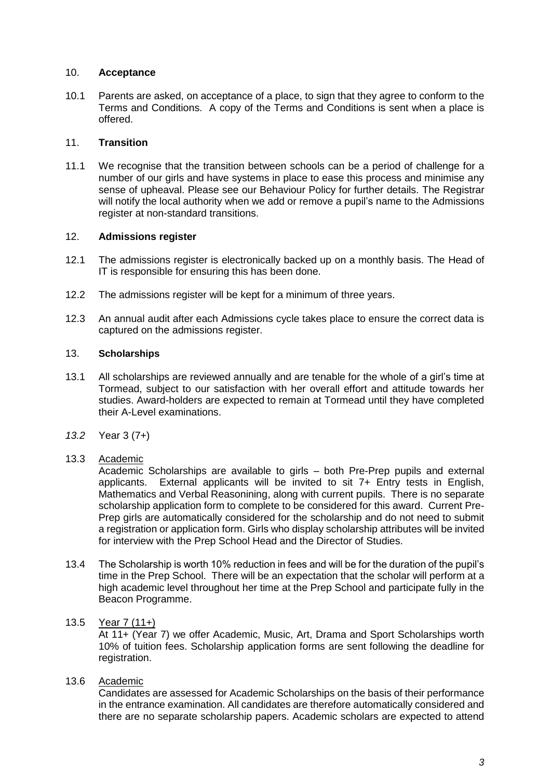### 10. **Acceptance**

10.1 Parents are asked, on acceptance of a place, to sign that they agree to conform to the Terms and Conditions. A copy of the Terms and Conditions is sent when a place is offered.

## 11. **Transition**

11.1 We recognise that the transition between schools can be a period of challenge for a number of our girls and have systems in place to ease this process and minimise any sense of upheaval. Please see our Behaviour Policy for further details. The Registrar will notify the local authority when we add or remove a pupil's name to the Admissions register at non-standard transitions.

### 12. **Admissions register**

- 12.1 The admissions register is electronically backed up on a monthly basis. The Head of IT is responsible for ensuring this has been done.
- 12.2 The admissions register will be kept for a minimum of three years.
- 12.3 An annual audit after each Admissions cycle takes place to ensure the correct data is captured on the admissions register.

### 13. **Scholarships**

- 13.1 All scholarships are reviewed annually and are tenable for the whole of a girl's time at Tormead, subject to our satisfaction with her overall effort and attitude towards her studies. Award-holders are expected to remain at Tormead until they have completed their A-Level examinations.
- *13.2* Year 3 (7+)

## 13.3 Academic

Academic Scholarships are available to girls – both Pre-Prep pupils and external applicants. External applicants will be invited to sit 7+ Entry tests in English, Mathematics and Verbal Reasonining, along with current pupils. There is no separate scholarship application form to complete to be considered for this award. Current Pre-Prep girls are automatically considered for the scholarship and do not need to submit a registration or application form. Girls who display scholarship attributes will be invited for interview with the Prep School Head and the Director of Studies.

13.4 The Scholarship is worth 10% reduction in fees and will be for the duration of the pupil's time in the Prep School. There will be an expectation that the scholar will perform at a high academic level throughout her time at the Prep School and participate fully in the Beacon Programme.

## 13.5 Year 7 (11+)

At 11+ (Year 7) we offer Academic, Music, Art, Drama and Sport Scholarships worth 10% of tuition fees. Scholarship application forms are sent following the deadline for registration.

## 13.6 Academic

Candidates are assessed for Academic Scholarships on the basis of their performance in the entrance examination. All candidates are therefore automatically considered and there are no separate scholarship papers. Academic scholars are expected to attend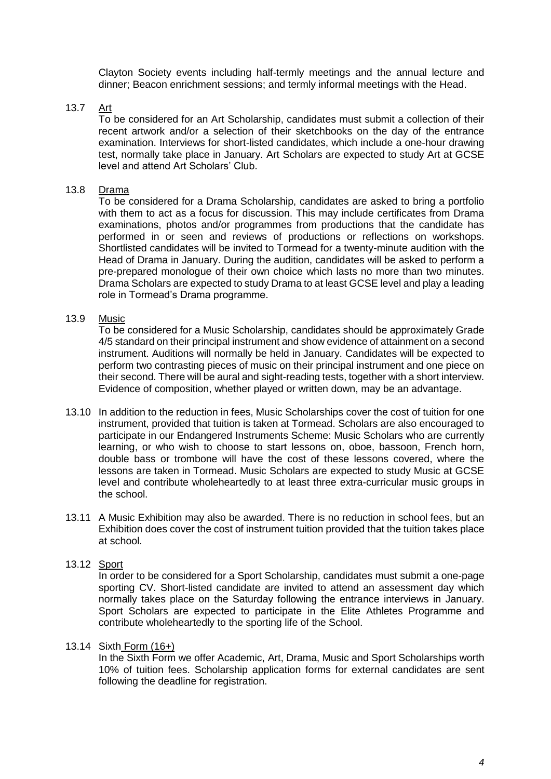Clayton Society events including half-termly meetings and the annual lecture and dinner; Beacon enrichment sessions; and termly informal meetings with the Head.

## 13.7 Art

To be considered for an Art Scholarship, candidates must submit a collection of their recent artwork and/or a selection of their sketchbooks on the day of the entrance examination. Interviews for short-listed candidates, which include a one-hour drawing test, normally take place in January. Art Scholars are expected to study Art at GCSE level and attend Art Scholars' Club.

### 13.8 Drama

To be considered for a Drama Scholarship, candidates are asked to bring a portfolio with them to act as a focus for discussion. This may include certificates from Drama examinations, photos and/or programmes from productions that the candidate has performed in or seen and reviews of productions or reflections on workshops. Shortlisted candidates will be invited to Tormead for a twenty-minute audition with the Head of Drama in January. During the audition, candidates will be asked to perform a pre-prepared monologue of their own choice which lasts no more than two minutes. Drama Scholars are expected to study Drama to at least GCSE level and play a leading role in Tormead's Drama programme.

### 13.9 Music

To be considered for a Music Scholarship, candidates should be approximately Grade 4/5 standard on their principal instrument and show evidence of attainment on a second instrument. Auditions will normally be held in January. Candidates will be expected to perform two contrasting pieces of music on their principal instrument and one piece on their second. There will be aural and sight-reading tests, together with a short interview. Evidence of composition, whether played or written down, may be an advantage.

- 13.10 In addition to the reduction in fees, Music Scholarships cover the cost of tuition for one instrument, provided that tuition is taken at Tormead. Scholars are also encouraged to participate in our Endangered Instruments Scheme: Music Scholars who are currently learning, or who wish to choose to start lessons on, oboe, bassoon, French horn, double bass or trombone will have the cost of these lessons covered, where the lessons are taken in Tormead. Music Scholars are expected to study Music at GCSE level and contribute wholeheartedly to at least three extra-curricular music groups in the school.
- 13.11 A Music Exhibition may also be awarded. There is no reduction in school fees, but an Exhibition does cover the cost of instrument tuition provided that the tuition takes place at school.

### 13.12 Sport

In order to be considered for a Sport Scholarship, candidates must submit a one-page sporting CV. Short-listed candidate are invited to attend an assessment day which normally takes place on the Saturday following the entrance interviews in January. Sport Scholars are expected to participate in the Elite Athletes Programme and contribute wholeheartedly to the sporting life of the School.

#### 13.14 Sixth Form (16+)

In the Sixth Form we offer Academic, Art, Drama, Music and Sport Scholarships worth 10% of tuition fees. Scholarship application forms for external candidates are sent following the deadline for registration.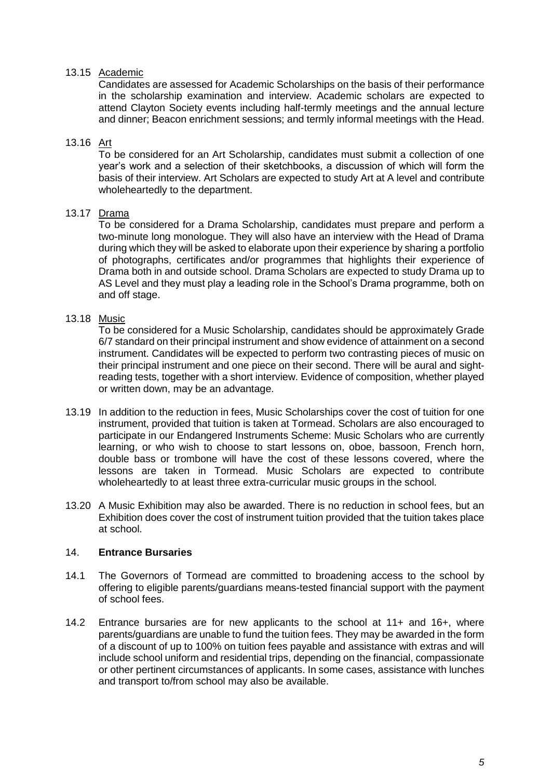## 13.15 Academic

Candidates are assessed for Academic Scholarships on the basis of their performance in the scholarship examination and interview. Academic scholars are expected to attend Clayton Society events including half-termly meetings and the annual lecture and dinner; Beacon enrichment sessions; and termly informal meetings with the Head.

## 13.16 Art

To be considered for an Art Scholarship, candidates must submit a collection of one year's work and a selection of their sketchbooks, a discussion of which will form the basis of their interview. Art Scholars are expected to study Art at A level and contribute wholeheartedly to the department.

# 13.17 Drama

To be considered for a Drama Scholarship, candidates must prepare and perform a two-minute long monologue. They will also have an interview with the Head of Drama during which they will be asked to elaborate upon their experience by sharing a portfolio of photographs, certificates and/or programmes that highlights their experience of Drama both in and outside school. Drama Scholars are expected to study Drama up to AS Level and they must play a leading role in the School's Drama programme, both on and off stage.

## 13.18 Music

To be considered for a Music Scholarship, candidates should be approximately Grade 6/7 standard on their principal instrument and show evidence of attainment on a second instrument. Candidates will be expected to perform two contrasting pieces of music on their principal instrument and one piece on their second. There will be aural and sightreading tests, together with a short interview. Evidence of composition, whether played or written down, may be an advantage.

- 13.19 In addition to the reduction in fees, Music Scholarships cover the cost of tuition for one instrument, provided that tuition is taken at Tormead. Scholars are also encouraged to participate in our Endangered Instruments Scheme: Music Scholars who are currently learning, or who wish to choose to start lessons on, oboe, bassoon, French horn, double bass or trombone will have the cost of these lessons covered, where the lessons are taken in Tormead. Music Scholars are expected to contribute wholeheartedly to at least three extra-curricular music groups in the school.
- 13.20 A Music Exhibition may also be awarded. There is no reduction in school fees, but an Exhibition does cover the cost of instrument tuition provided that the tuition takes place at school.

## 14. **Entrance Bursaries**

- 14.1 The Governors of Tormead are committed to broadening access to the school by offering to eligible parents/guardians means-tested financial support with the payment of school fees.
- 14.2 Entrance bursaries are for new applicants to the school at 11+ and 16+, where parents/guardians are unable to fund the tuition fees. They may be awarded in the form of a discount of up to 100% on tuition fees payable and assistance with extras and will include school uniform and residential trips, depending on the financial, compassionate or other pertinent circumstances of applicants. In some cases, assistance with lunches and transport to/from school may also be available.